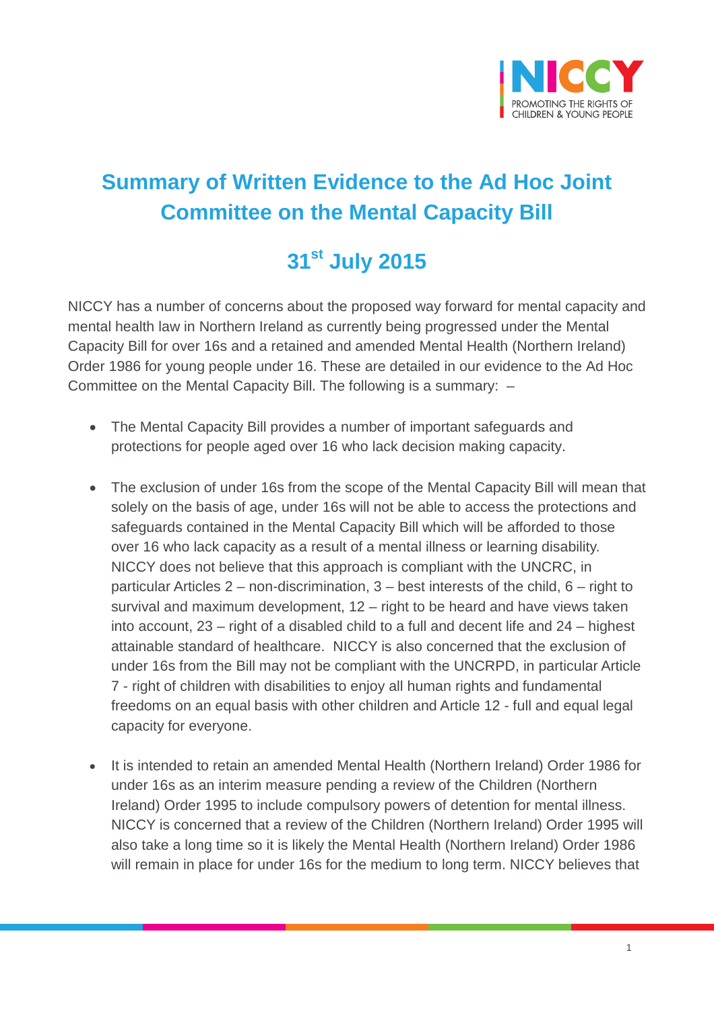

## **Summary of Written Evidence to the Ad Hoc Joint Committee on the Mental Capacity Bill**

## **31st July 2015**

NICCY has a number of concerns about the proposed way forward for mental capacity and mental health law in Northern Ireland as currently being progressed under the Mental Capacity Bill for over 16s and a retained and amended Mental Health (Northern Ireland) Order 1986 for young people under 16. These are detailed in our evidence to the Ad Hoc Committee on the Mental Capacity Bill. The following is a summary: –

- The Mental Capacity Bill provides a number of important safeguards and protections for people aged over 16 who lack decision making capacity.
- The exclusion of under 16s from the scope of the Mental Capacity Bill will mean that solely on the basis of age, under 16s will not be able to access the protections and safeguards contained in the Mental Capacity Bill which will be afforded to those over 16 who lack capacity as a result of a mental illness or learning disability. NICCY does not believe that this approach is compliant with the UNCRC, in particular Articles 2 – non-discrimination, 3 – best interests of the child, 6 – right to survival and maximum development, 12 – right to be heard and have views taken into account, 23 – right of a disabled child to a full and decent life and 24 – highest attainable standard of healthcare. NICCY is also concerned that the exclusion of under 16s from the Bill may not be compliant with the UNCRPD, in particular Article 7 - right of children with disabilities to enjoy all human rights and fundamental freedoms on an equal basis with other children and Article 12 - full and equal legal capacity for everyone.
- It is intended to retain an amended Mental Health (Northern Ireland) Order 1986 for under 16s as an interim measure pending a review of the Children (Northern Ireland) Order 1995 to include compulsory powers of detention for mental illness. NICCY is concerned that a review of the Children (Northern Ireland) Order 1995 will also take a long time so it is likely the Mental Health (Northern Ireland) Order 1986 will remain in place for under 16s for the medium to long term. NICCY believes that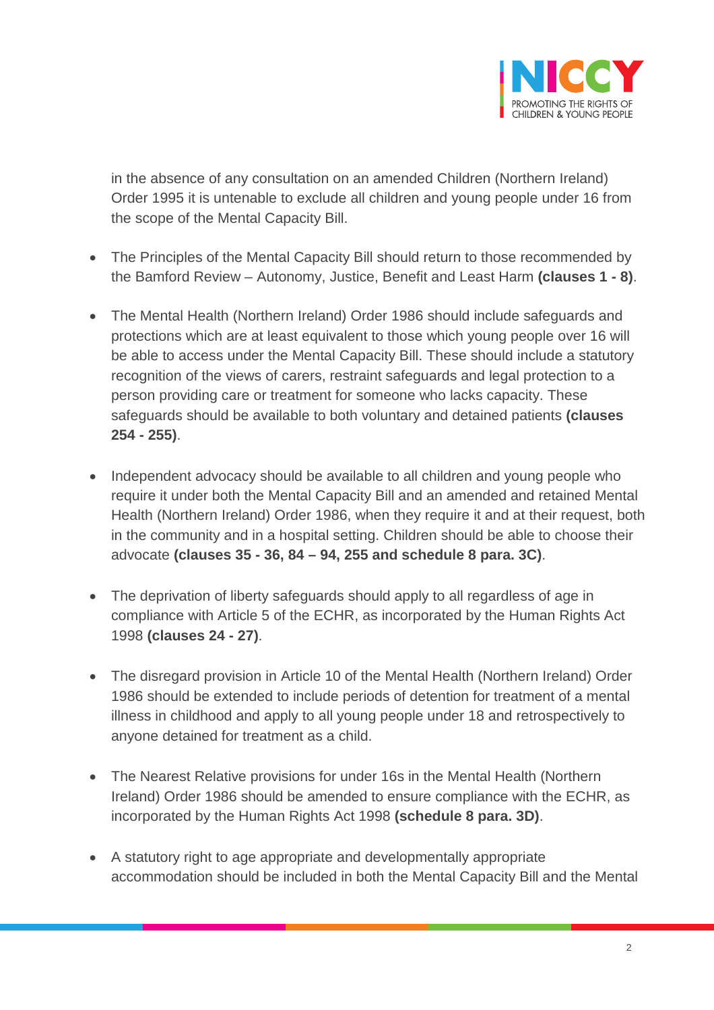

in the absence of any consultation on an amended Children (Northern Ireland) Order 1995 it is untenable to exclude all children and young people under 16 from the scope of the Mental Capacity Bill.

- The Principles of the Mental Capacity Bill should return to those recommended by the Bamford Review – Autonomy, Justice, Benefit and Least Harm **(clauses 1 - 8)**.
- The Mental Health (Northern Ireland) Order 1986 should include safeguards and protections which are at least equivalent to those which young people over 16 will be able to access under the Mental Capacity Bill. These should include a statutory recognition of the views of carers, restraint safeguards and legal protection to a person providing care or treatment for someone who lacks capacity. These safeguards should be available to both voluntary and detained patients **(clauses 254 - 255)**.
- Independent advocacy should be available to all children and young people who require it under both the Mental Capacity Bill and an amended and retained Mental Health (Northern Ireland) Order 1986, when they require it and at their request, both in the community and in a hospital setting. Children should be able to choose their advocate **(clauses 35 - 36, 84 – 94, 255 and schedule 8 para. 3C)**.
- The deprivation of liberty safeguards should apply to all regardless of age in compliance with Article 5 of the ECHR, as incorporated by the Human Rights Act 1998 **(clauses 24 - 27)**.
- The disregard provision in Article 10 of the Mental Health (Northern Ireland) Order 1986 should be extended to include periods of detention for treatment of a mental illness in childhood and apply to all young people under 18 and retrospectively to anyone detained for treatment as a child.
- The Nearest Relative provisions for under 16s in the Mental Health (Northern Ireland) Order 1986 should be amended to ensure compliance with the ECHR, as incorporated by the Human Rights Act 1998 **(schedule 8 para. 3D)**.
- A statutory right to age appropriate and developmentally appropriate accommodation should be included in both the Mental Capacity Bill and the Mental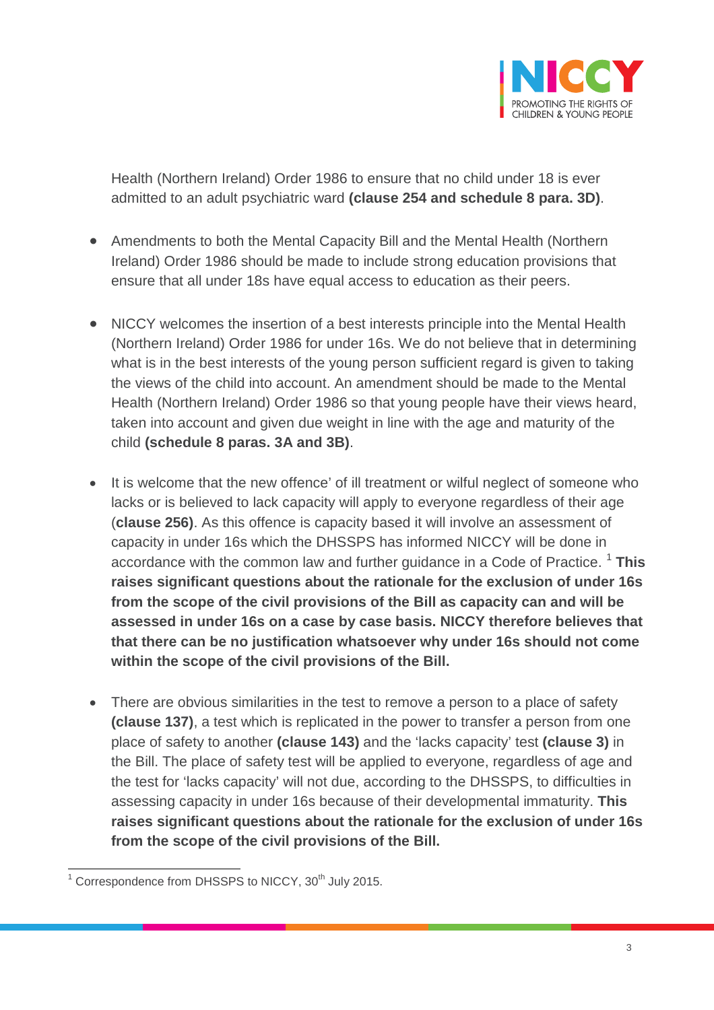

Health (Northern Ireland) Order 1986 to ensure that no child under 18 is ever admitted to an adult psychiatric ward **(clause 254 and schedule 8 para. 3D)**.

- Amendments to both the Mental Capacity Bill and the Mental Health (Northern Ireland) Order 1986 should be made to include strong education provisions that ensure that all under 18s have equal access to education as their peers.
- NICCY welcomes the insertion of a best interests principle into the Mental Health (Northern Ireland) Order 1986 for under 16s. We do not believe that in determining what is in the best interests of the young person sufficient regard is given to taking the views of the child into account. An amendment should be made to the Mental Health (Northern Ireland) Order 1986 so that young people have their views heard, taken into account and given due weight in line with the age and maturity of the child **(schedule 8 paras. 3A and 3B)**.
- It is welcome that the new offence' of ill treatment or wilful neglect of someone who lacks or is believed to lack capacity will apply to everyone regardless of their age (**clause 256)**. As this offence is capacity based it will involve an assessment of capacity in under 16s which the DHSSPS has informed NICCY will be done in accordance with the common law and further guidance in a Code of Practice. [1](#page-2-0) **This raises significant questions about the rationale for the exclusion of under 16s from the scope of the civil provisions of the Bill as capacity can and will be assessed in under 16s on a case by case basis. NICCY therefore believes that that there can be no justification whatsoever why under 16s should not come within the scope of the civil provisions of the Bill.**
- There are obvious similarities in the test to remove a person to a place of safety **(clause 137)**, a test which is replicated in the power to transfer a person from one place of safety to another **(clause 143)** and the 'lacks capacity' test **(clause 3)** in the Bill. The place of safety test will be applied to everyone, regardless of age and the test for 'lacks capacity' will not due, according to the DHSSPS, to difficulties in assessing capacity in under 16s because of their developmental immaturity. **This raises significant questions about the rationale for the exclusion of under 16s from the scope of the civil provisions of the Bill.**

<span id="page-2-0"></span> $1$  Correspondence from DHSSPS to NICCY,  $30<sup>th</sup>$  July 2015.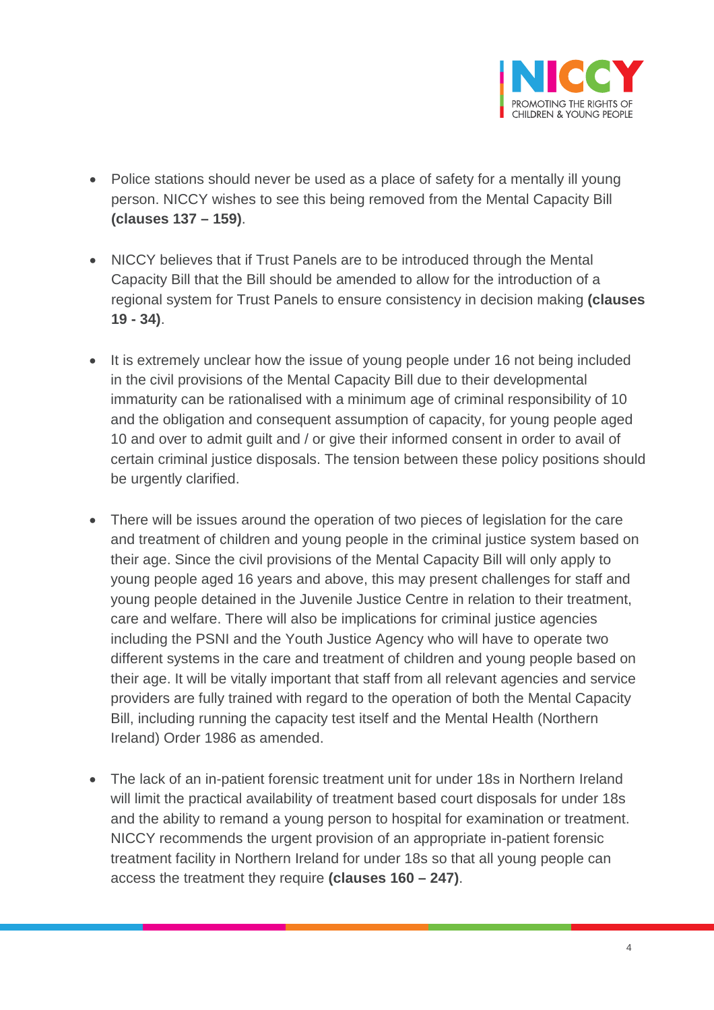

- Police stations should never be used as a place of safety for a mentally ill young person. NICCY wishes to see this being removed from the Mental Capacity Bill **(clauses 137 – 159)**.
- NICCY believes that if Trust Panels are to be introduced through the Mental Capacity Bill that the Bill should be amended to allow for the introduction of a regional system for Trust Panels to ensure consistency in decision making **(clauses 19 - 34)**.
- It is extremely unclear how the issue of young people under 16 not being included in the civil provisions of the Mental Capacity Bill due to their developmental immaturity can be rationalised with a minimum age of criminal responsibility of 10 and the obligation and consequent assumption of capacity, for young people aged 10 and over to admit guilt and / or give their informed consent in order to avail of certain criminal justice disposals. The tension between these policy positions should be urgently clarified.
- There will be issues around the operation of two pieces of legislation for the care and treatment of children and young people in the criminal justice system based on their age. Since the civil provisions of the Mental Capacity Bill will only apply to young people aged 16 years and above, this may present challenges for staff and young people detained in the Juvenile Justice Centre in relation to their treatment, care and welfare. There will also be implications for criminal justice agencies including the PSNI and the Youth Justice Agency who will have to operate two different systems in the care and treatment of children and young people based on their age. It will be vitally important that staff from all relevant agencies and service providers are fully trained with regard to the operation of both the Mental Capacity Bill, including running the capacity test itself and the Mental Health (Northern Ireland) Order 1986 as amended.
- The lack of an in-patient forensic treatment unit for under 18s in Northern Ireland will limit the practical availability of treatment based court disposals for under 18s and the ability to remand a young person to hospital for examination or treatment. NICCY recommends the urgent provision of an appropriate in-patient forensic treatment facility in Northern Ireland for under 18s so that all young people can access the treatment they require **(clauses 160 – 247)**.